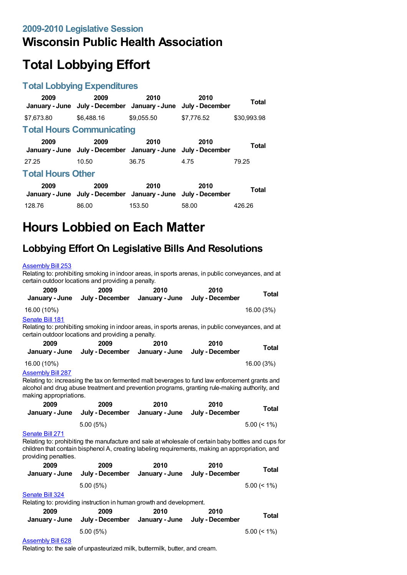## **Wisconsin Public Health Association**

# **Total Lobbying Effort**

### **Total Lobbying Expenditures**

| 2009<br>January - June   | 2009<br>July - December January - June                                | 2010       | 2010<br>July - December | Total       |  |
|--------------------------|-----------------------------------------------------------------------|------------|-------------------------|-------------|--|
| \$7,673.80               | \$6,488.16                                                            | \$9.055.50 | \$7.776.52              | \$30,993.98 |  |
|                          | <b>Total Hours Communicating</b>                                      |            |                         |             |  |
| 2009                     | 2009<br>January - June July - December January - June July - December | 2010       | 2010                    | Total       |  |
| 27.25                    | 10.50                                                                 | 36.75      | 4.75                    | 79.25       |  |
| <b>Total Hours Other</b> |                                                                       |            |                         |             |  |
| 2009                     | 2009<br>January - June July - December January - June                 | 2010       | 2010<br>July - December | Total       |  |
| 128.76                   | 86.00                                                                 | 153.50     | 58.00                   | 426.26      |  |

# **Hours Lobbied on Each Matter**

## **Lobbying Effort On Legislative Bills And Resolutions**

#### [Assembly](https://lobbying.wi.gov/What/BillInformation/2009REG/Information/6440?tab=Efforts) Bill 253

Relating to: prohibiting smoking in indoor areas, in sports arenas, in public conveyances, and at certain outdoor locations and providing a penalty.

| 2009<br>January - June                                                                                                                                                                                                                            | 2009<br>July - December                                                                                                                                                                         | 2010<br>January - June | 2010<br>July - December | <b>Total</b>   |  |
|---------------------------------------------------------------------------------------------------------------------------------------------------------------------------------------------------------------------------------------------------|-------------------------------------------------------------------------------------------------------------------------------------------------------------------------------------------------|------------------------|-------------------------|----------------|--|
| 16.00 (10%)                                                                                                                                                                                                                                       |                                                                                                                                                                                                 |                        |                         | 16.00 (3%)     |  |
| Senate Bill 181                                                                                                                                                                                                                                   | Relating to: prohibiting smoking in indoor areas, in sports arenas, in public conveyances, and at<br>certain outdoor locations and providing a penalty.                                         |                        |                         |                |  |
| 2009<br>January - June                                                                                                                                                                                                                            | 2009<br>July - December                                                                                                                                                                         | 2010<br>January - June | 2010<br>July - December | <b>Total</b>   |  |
| 16.00 (10%)                                                                                                                                                                                                                                       |                                                                                                                                                                                                 |                        |                         | 16.00 (3%)     |  |
| <b>Assembly Bill 287</b><br>making appropriations.                                                                                                                                                                                                | Relating to: increasing the tax on fermented malt beverages to fund law enforcement grants and<br>alcohol and drug abuse treatment and prevention programs, granting rule-making authority, and |                        |                         |                |  |
| 2009<br>January - June                                                                                                                                                                                                                            | 2009<br>July - December                                                                                                                                                                         | 2010<br>January - June | 2010<br>July - December | <b>Total</b>   |  |
|                                                                                                                                                                                                                                                   | 5.00(5%)                                                                                                                                                                                        |                        |                         | $5.00 \le 1\%$ |  |
| Senate Bill 271<br>Relating to: prohibiting the manufacture and sale at wholesale of certain baby bottles and cups for<br>children that contain bisphenol A, creating labeling requirements, making an appropriation, and<br>providing penalties. |                                                                                                                                                                                                 |                        |                         |                |  |
| 2009                                                                                                                                                                                                                                              | 2009                                                                                                                                                                                            | 2010                   | 2010                    | Total          |  |
| January - June                                                                                                                                                                                                                                    | July - December                                                                                                                                                                                 | January - June         | July - December         |                |  |
|                                                                                                                                                                                                                                                   | 5.00(5%)                                                                                                                                                                                        |                        |                         | $5.00 \le 1\%$ |  |
| Senate Bill 324                                                                                                                                                                                                                                   |                                                                                                                                                                                                 |                        |                         |                |  |
| 2009                                                                                                                                                                                                                                              | Relating to: providing instruction in human growth and development.<br>2009                                                                                                                     | 2010                   | 2010                    |                |  |
| January - June                                                                                                                                                                                                                                    | July - December                                                                                                                                                                                 | January - June         | July - December         | Total          |  |
|                                                                                                                                                                                                                                                   | 5.00(5%)                                                                                                                                                                                        |                        |                         | $5.00 \le 1\%$ |  |
|                                                                                                                                                                                                                                                   |                                                                                                                                                                                                 |                        |                         |                |  |

#### [Assembly](https://lobbying.wi.gov/What/BillInformation/2009REG/Information/7144?tab=Efforts) Bill 628

Relating to: the sale of unpasteurized milk, buttermilk, butter, and cream.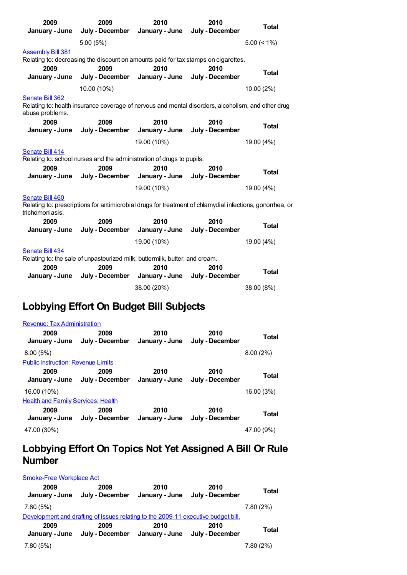| 2009<br>January - June                                                        | 2009<br>July - December                                                                                  | 2010<br>January - June | 2010<br>July - December | <b>Total</b>   |
|-------------------------------------------------------------------------------|----------------------------------------------------------------------------------------------------------|------------------------|-------------------------|----------------|
|                                                                               | 5.00(5%)                                                                                                 |                        |                         | $5.00 \le 1\%$ |
| <b>Assembly Bill 381</b>                                                      |                                                                                                          |                        |                         |                |
|                                                                               | Relating to: decreasing the discount on amounts paid for tax stamps on cigarettes.                       |                        |                         |                |
| 2009                                                                          | 2009                                                                                                     | 2010                   | 2010                    | <b>Total</b>   |
| January - June                                                                | July - December                                                                                          | January - June         | July - December         |                |
|                                                                               | 10.00 (10%)                                                                                              |                        |                         | 10.00 (2%)     |
| Senate Bill 362<br>abuse problems.                                            | Relating to: health insurance coverage of nervous and mental disorders, alcoholism, and other drug       |                        |                         |                |
| 2009<br>January - June                                                        | 2009<br>July - December                                                                                  | 2010<br>January - June | 2010<br>July - December | <b>Total</b>   |
|                                                                               |                                                                                                          | 19.00 (10%)            |                         | 19.00 (4%)     |
| Senate Bill 414                                                               | Relating to: school nurses and the administration of drugs to pupils.                                    |                        |                         |                |
| 2009                                                                          | 2009                                                                                                     | 2010                   | 2010                    |                |
| January - June                                                                | July - December                                                                                          | January - June         | July - December         | <b>Total</b>   |
|                                                                               |                                                                                                          | 19.00 (10%)            |                         | 19.00 (4%)     |
| Senate Bill 460<br>trichomoniasis.                                            | Relating to: prescriptions for antimicrobial drugs for treatment of chlamydial infections, gonorrhea, or |                        |                         |                |
| 2009<br>January - June                                                        | 2009<br>July - December                                                                                  | 2010<br>January - June | 2010<br>July - December | <b>Total</b>   |
|                                                                               |                                                                                                          | 19.00 (10%)            |                         | 19.00 (4%)     |
| Senate Bill 434                                                               | Relating to: the sale of unpasteurized milk, buttermilk, butter, and cream.                              |                        |                         |                |
| 2009                                                                          | 2009                                                                                                     | 2010                   | 2010                    |                |
| January - June                                                                | July - December                                                                                          | January - June         | July - December         | <b>Total</b>   |
|                                                                               |                                                                                                          | 38.00 (20%)            |                         | 38.00 (8%)     |
| Lobbying Effort On Budget Bill Subjects<br><b>Revenue: Tax Administration</b> |                                                                                                          |                        |                         |                |
|                                                                               |                                                                                                          |                        |                         |                |

| 2009<br>January - June                    | 2009<br>July - December | 2010<br>January - June | 2010<br>July - December | <b>Total</b> |
|-------------------------------------------|-------------------------|------------------------|-------------------------|--------------|
| 8.00(5%)                                  |                         |                        |                         | 8.00(2%)     |
| <b>Public Instruction: Revenue Limits</b> |                         |                        |                         |              |
| 2009<br>January - June                    | 2009<br>July - December | 2010<br>January - June | 2010<br>July - December | <b>Total</b> |
| 16.00 (10%)                               |                         |                        |                         | 16.00 (3%)   |
| <b>Health and Family Services: Health</b> |                         |                        |                         |              |
| 2009<br>January - June                    | 2009<br>July - December | 2010<br>January - June | 2010<br>July - December | <b>Total</b> |
| 47.00 (30%)                               |                         |                        |                         | 47.00 (9%)   |

## **Lobbying Effort On Topics Not Yet Assigned A Bill Or Rule Number**

| <b>Smoke-Free Workplace Act</b>                                                   |                         |                        |                         |              |  |  |
|-----------------------------------------------------------------------------------|-------------------------|------------------------|-------------------------|--------------|--|--|
| 2009<br>January - June                                                            | 2009<br>July - December | 2010<br>January - June | 2010<br>July - December | <b>Total</b> |  |  |
| 7.80(5%)                                                                          |                         |                        |                         | 7.80(2%)     |  |  |
| Development and drafting of issues relating to the 2009-11 executive budget bill. |                         |                        |                         |              |  |  |
| 2009<br>January - June                                                            | 2009<br>July - December | 2010<br>January - June | 2010<br>July - December | Total        |  |  |
| 7.80 (5%)                                                                         |                         |                        |                         | 7.80 (2%)    |  |  |